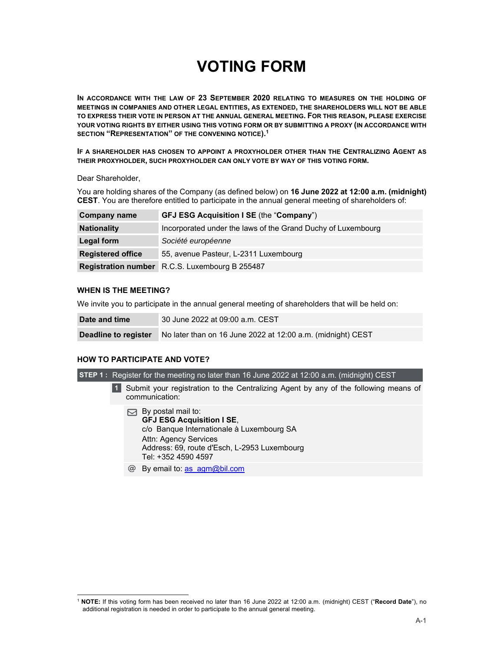# **VOTING FORM**

**IN ACCORDANCE WITH THE LAW OF 23 SEPTEMBER 2020 RELATING TO MEASURES ON THE HOLDING OF MEETINGS IN COMPANIES AND OTHER LEGAL ENTITIES, AS EXTENDED, THE SHAREHOLDERS WILL NOT BE ABLE TO EXPRESS THEIR VOTE IN PERSON AT THE ANNUAL GENERAL MEETING. FOR THIS REASON, PLEASE EXERCISE YOUR VOTING RIGHTS BY EITHER USING THIS VOTING FORM OR BY SUBMITTING A PROXY (IN ACCORDANCE WITH SECTION "REPRESENTATION" OF THE CONVENING NOTICE).1** 

**IF A SHAREHOLDER HAS CHOSEN TO APPOINT A PROXYHOLDER OTHER THAN THE CENTRALIZING AGENT AS THEIR PROXYHOLDER, SUCH PROXYHOLDER CAN ONLY VOTE BY WAY OF THIS VOTING FORM.** 

Dear Shareholder,

You are holding shares of the Company (as defined below) on **16 June 2022 at 12:00 a.m. (midnight) CEST**. You are therefore entitled to participate in the annual general meeting of shareholders of:

| <b>Company name</b>      | <b>GFJ ESG Acquisition I SE (the "Company")</b>              |
|--------------------------|--------------------------------------------------------------|
| <b>Nationality</b>       | Incorporated under the laws of the Grand Duchy of Luxembourg |
| Legal form               | Société européenne                                           |
| <b>Registered office</b> | 55, avenue Pasteur, L-2311 Luxembourg                        |
|                          | <b>Registration number</b> R.C.S. Luxembourg B 255487        |

### **WHEN IS THE MEETING?**

We invite you to participate in the annual general meeting of shareholders that will be held on:

| Date and time        | 30 June 2022 at 09:00 a.m. CEST                             |
|----------------------|-------------------------------------------------------------|
| Deadline to register | No later than on 16 June 2022 at 12:00 a.m. (midnight) CEST |

#### **HOW TO PARTICIPATE AND VOTE?**

**STEP 1 :** Register for the meeting no later than 16 June 2022 at 12:00 a.m. (midnight) CEST

Submit your registration to the Centralizing Agent by any of the following means of communication: **1** 

- $\boxdot$  By postal mail to: **GFJ ESG Acquisition I SE**, c/o Banque Internationale à Luxembourg SA Attn: Agency Services Address: 69, route d'Esch, L-2953 Luxembourg Tel: +352 4590 4597
- **@** By email to: as agm@bil.com

<sup>1</sup> **NOTE:** If this voting form has been received no later than 16 June 2022 at 12:00 a.m. (midnight) CEST ("**Record Date**"), no additional registration is needed in order to participate to the annual general meeting.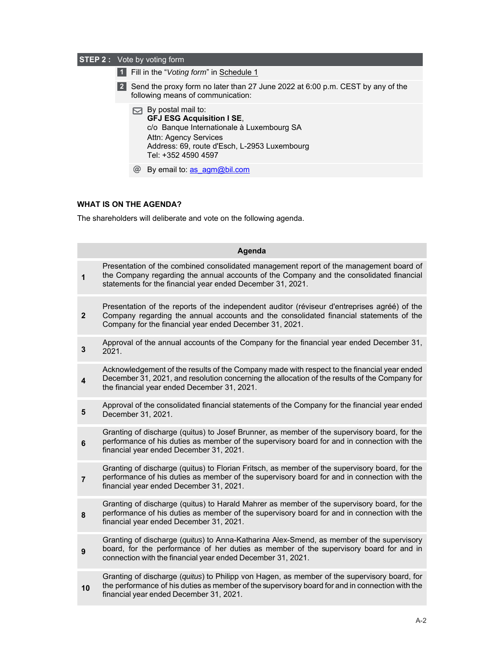|           | <b>STEP 2:</b> Vote by voting form                                                                                                                                                                  |
|-----------|-----------------------------------------------------------------------------------------------------------------------------------------------------------------------------------------------------|
| 11        | Fill in the "Voting form" in Schedule 1                                                                                                                                                             |
| $\vert$ 2 | Send the proxy form no later than 27 June 2022 at 6:00 p.m. CEST by any of the<br>following means of communication:                                                                                 |
|           | By postal mail to:<br><b>GFJ ESG Acquisition I SE,</b><br>c/o Banque Internationale à Luxembourg SA<br>Attn: Agency Services<br>Address: 69, route d'Esch, L-2953 Luxembourg<br>Tel: +352 4590 4597 |
|           | By email to: as agm@bil.com                                                                                                                                                                         |
|           |                                                                                                                                                                                                     |

## **WHAT IS ON THE AGENDA?**

The shareholders will deliberate and vote on the following agenda.

|                | Agenda                                                                                                                                                                                                                                             |
|----------------|----------------------------------------------------------------------------------------------------------------------------------------------------------------------------------------------------------------------------------------------------|
| 1              | Presentation of the combined consolidated management report of the management board of<br>the Company regarding the annual accounts of the Company and the consolidated financial<br>statements for the financial year ended December 31, 2021.    |
| $\mathbf{2}$   | Presentation of the reports of the independent auditor (réviseur d'entreprises agréé) of the<br>Company regarding the annual accounts and the consolidated financial statements of the<br>Company for the financial year ended December 31, 2021.  |
| 3              | Approval of the annual accounts of the Company for the financial year ended December 31,<br>2021.                                                                                                                                                  |
| 4              | Acknowledgement of the results of the Company made with respect to the financial year ended<br>December 31, 2021, and resolution concerning the allocation of the results of the Company for<br>the financial year ended December 31, 2021.        |
| 5              | Approval of the consolidated financial statements of the Company for the financial year ended<br>December 31, 2021.                                                                                                                                |
| 6              | Granting of discharge (quitus) to Josef Brunner, as member of the supervisory board, for the<br>performance of his duties as member of the supervisory board for and in connection with the<br>financial year ended December 31, 2021.             |
| $\overline{7}$ | Granting of discharge (quitus) to Florian Fritsch, as member of the supervisory board, for the<br>performance of his duties as member of the supervisory board for and in connection with the<br>financial year ended December 31, 2021.           |
| 8              | Granting of discharge (quitus) to Harald Mahrer as member of the supervisory board, for the<br>performance of his duties as member of the supervisory board for and in connection with the<br>financial year ended December 31, 2021.              |
| $\mathbf{9}$   | Granting of discharge (quitus) to Anna-Katharina Alex-Smend, as member of the supervisory<br>board, for the performance of her duties as member of the supervisory board for and in<br>connection with the financial year ended December 31, 2021. |
| 10             | Granting of discharge (quitus) to Philipp von Hagen, as member of the supervisory board, for<br>the performance of his duties as member of the supervisory board for and in connection with the<br>financial year ended December 31, 2021.         |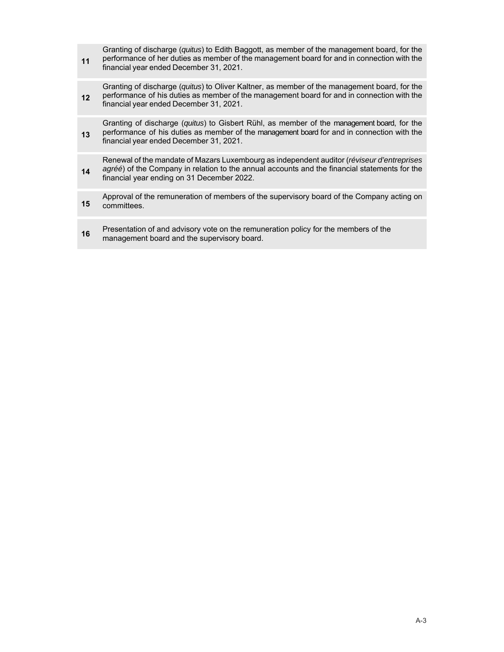**11**  Granting of discharge (*quitus*) to Edith Baggott, as member of the management board, for the performance of her duties as member of the management board for and in connection with the financial year ended December 31, 2021.

**12**  Granting of discharge (*quitus*) to Oliver Kaltner, as member of the management board, for the performance of his duties as member of the management board for and in connection with the financial year ended December 31, 2021.

**13**  Granting of discharge (*quitus*) to Gisbert Rühl, as member of the management board, for the performance of his duties as member of the management board for and in connection with the financial year ended December 31, 2021.

**14**  Renewal of the mandate of Mazars Luxembourg as independent auditor (*réviseur d'entreprises agréé*) of the Company in relation to the annual accounts and the financial statements for the financial year ending on 31 December 2022.

**15** Approval of the remuneration of members of the supervisory board of the Company acting on committees committees.

**16** Presentation of and advisory vote on the remuneration policy for the members of the menogeneer beard management board and the supervisory board.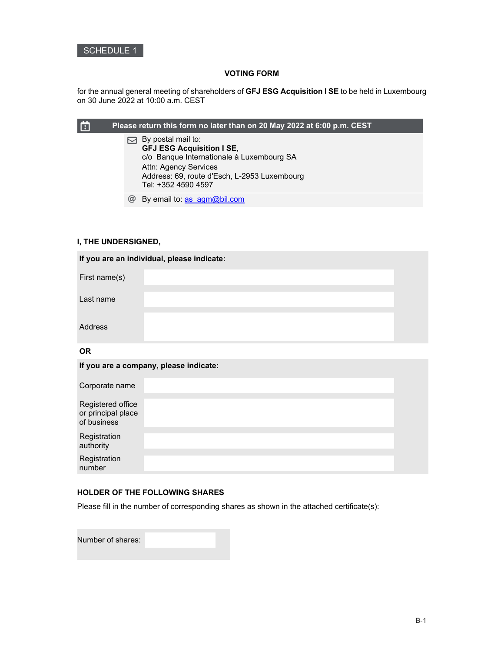

## **VOTING FORM**

for the annual general meeting of shareholders of **GFJ ESG Acquisition I SE** to be held in Luxembourg on 30 June 2022 at 10:00 a.m. CEST

|          | Please return this form no later than on 20 May 2022 at 6:00 p.m. CEST                                                                                                                              |
|----------|-----------------------------------------------------------------------------------------------------------------------------------------------------------------------------------------------------|
|          | By postal mail to:<br><b>GFJ ESG Acquisition I SE,</b><br>c/o Banque Internationale à Luxembourg SA<br>Attn: Agency Services<br>Address: 69, route d'Esch, L-2953 Luxembourg<br>Tel: +352 4590 4597 |
| $\omega$ | By email to: as agm@bil.com                                                                                                                                                                         |

## **I, THE UNDERSIGNED,**

| If you are an individual, please indicate: |  |  |
|--------------------------------------------|--|--|
| First name(s)                              |  |  |
| Last name                                  |  |  |
| <b>Address</b>                             |  |  |
| <b>OR</b>                                  |  |  |

|                                                        | If you are a company, please indicate: |  |
|--------------------------------------------------------|----------------------------------------|--|
| Corporate name                                         |                                        |  |
| Registered office<br>or principal place<br>of business |                                        |  |
| Registration<br>authority                              |                                        |  |
| Registration<br>number                                 |                                        |  |

#### **HOLDER OF THE FOLLOWING SHARES**

Please fill in the number of corresponding shares as shown in the attached certificate(s):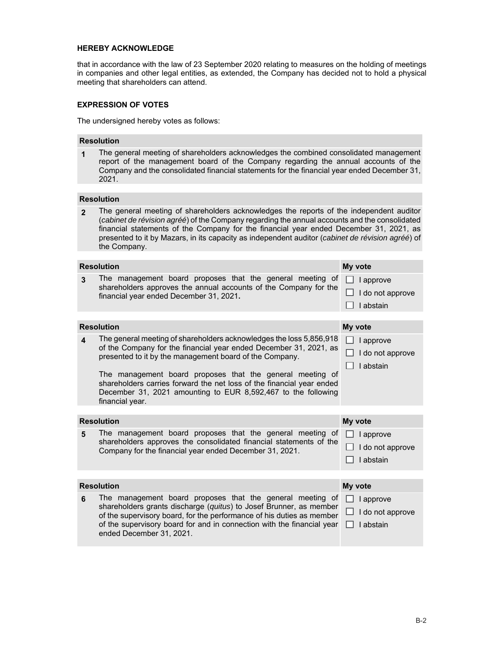#### **HEREBY ACKNOWLEDGE**

that in accordance with the law of 23 September 2020 relating to measures on the holding of meetings in companies and other legal entities, as extended, the Company has decided not to hold a physical meeting that shareholders can attend.

## **EXPRESSION OF VOTES**

The undersigned hereby votes as follows:

#### **Resolution**

**1** The general meeting of shareholders acknowledges the combined consolidated management report of the management board of the Company regarding the annual accounts of the Company and the consolidated financial statements for the financial year ended December 31, 2021.

## **Resolution**

**2** The general meeting of shareholders acknowledges the reports of the independent auditor (*cabinet de révision agréé*) of the Company regarding the annual accounts and the consolidated financial statements of the Company for the financial year ended December 31, 2021, as presented to it by Mazars, in its capacity as independent auditor (*cabinet de révision agréé*) of the Company.

| <b>Resolution</b>       |                                                                                                                                                                                                                                                                                                                                                                                                                               | My vote                                           |  |  |
|-------------------------|-------------------------------------------------------------------------------------------------------------------------------------------------------------------------------------------------------------------------------------------------------------------------------------------------------------------------------------------------------------------------------------------------------------------------------|---------------------------------------------------|--|--|
| 3                       | The management board proposes that the general meeting of<br>shareholders approves the annual accounts of the Company for the<br>financial year ended December 31, 2021.                                                                                                                                                                                                                                                      | I approve<br>I do not approve<br>I abstain        |  |  |
|                         |                                                                                                                                                                                                                                                                                                                                                                                                                               |                                                   |  |  |
|                         | <b>Resolution</b>                                                                                                                                                                                                                                                                                                                                                                                                             | My vote                                           |  |  |
| $\overline{\mathbf{A}}$ | The general meeting of shareholders acknowledges the loss 5,856,918<br>of the Company for the financial year ended December 31, 2021, as<br>presented to it by the management board of the Company.<br>The management board proposes that the general meeting of<br>shareholders carries forward the net loss of the financial year ended<br>December 31, 2021 amounting to EUR 8,592,467 to the following<br>financial year. | I approve<br>I do not approve<br>I abstain        |  |  |
|                         |                                                                                                                                                                                                                                                                                                                                                                                                                               |                                                   |  |  |
|                         |                                                                                                                                                                                                                                                                                                                                                                                                                               |                                                   |  |  |
|                         | <b>Resolution</b>                                                                                                                                                                                                                                                                                                                                                                                                             | My vote                                           |  |  |
| 5                       | The management board proposes that the general meeting of<br>shareholders approves the consolidated financial statements of the<br>Company for the financial year ended December 31, 2021.                                                                                                                                                                                                                                    | $\Box$ I approve<br>I do not approve<br>I abstain |  |  |
|                         |                                                                                                                                                                                                                                                                                                                                                                                                                               |                                                   |  |  |
|                         | <b>Resolution</b>                                                                                                                                                                                                                                                                                                                                                                                                             | My vote                                           |  |  |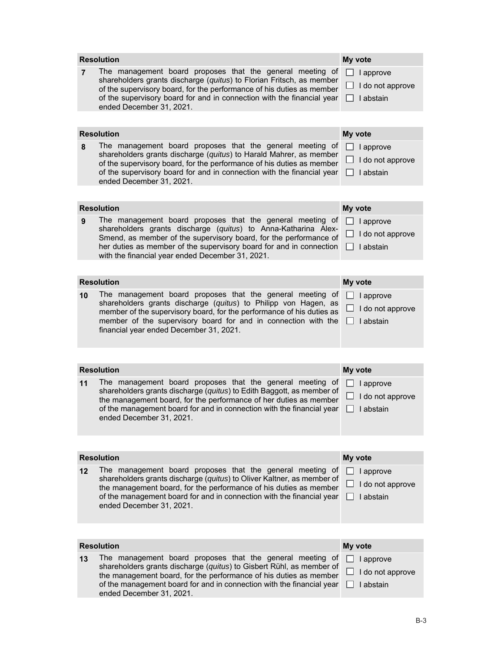|                | <b>Resolution</b>                                                                                                                                                                                                                                                                                                           | My vote |                                            |
|----------------|-----------------------------------------------------------------------------------------------------------------------------------------------------------------------------------------------------------------------------------------------------------------------------------------------------------------------------|---------|--------------------------------------------|
| $\overline{7}$ | The management board proposes that the general meeting of<br>shareholders grants discharge (quitus) to Florian Fritsch, as member<br>of the supervisory board, for the performance of his duties as member<br>of the supervisory board for and in connection with the financial year<br>ended December 31, 2021.            |         | I approve<br>I do not approve<br>I abstain |
|                |                                                                                                                                                                                                                                                                                                                             |         |                                            |
|                | <b>Resolution</b>                                                                                                                                                                                                                                                                                                           | My vote |                                            |
| 8              | The management board proposes that the general meeting of<br>shareholders grants discharge (quitus) to Harald Mahrer, as member<br>of the supervisory board, for the performance of his duties as member<br>of the supervisory board for and in connection with the financial year<br>ended December 31, 2021.              |         | I approve<br>I do not approve<br>I abstain |
|                |                                                                                                                                                                                                                                                                                                                             |         |                                            |
|                | <b>Resolution</b>                                                                                                                                                                                                                                                                                                           | My vote |                                            |
| 9              | The management board proposes that the general meeting of<br>shareholders grants discharge (quitus) to Anna-Katharina Alex-<br>Smend, as member of the supervisory board, for the performance of<br>her duties as member of the supervisory board for and in connection<br>with the financial year ended December 31, 2021. |         | I approve<br>I do not approve<br>I abstain |
|                |                                                                                                                                                                                                                                                                                                                             |         |                                            |
|                | <b>Resolution</b>                                                                                                                                                                                                                                                                                                           | My vote |                                            |
| 10             | The management board proposes that the general meeting of<br>shareholders grants discharge (quitus) to Philipp von Hagen, as<br>member of the supervisory board, for the performance of his duties as<br>member of the supervisory board for and in connection with the<br>financial year ended December 31, 2021.          |         | I approve<br>I do not approve<br>I abstain |
|                |                                                                                                                                                                                                                                                                                                                             |         |                                            |
|                | <b>Resolution</b>                                                                                                                                                                                                                                                                                                           | My vote |                                            |
| 11             | The management board proposes that the general meeting of<br>shareholders grants discharge (quitus) to Edith Baggott, as member of<br>the management board, for the performance of her duties as member<br>of the management board for and in connection with the financial year<br>ended December 31, 2021.                |         | I approve<br>I do not approve<br>I abstain |
|                |                                                                                                                                                                                                                                                                                                                             |         |                                            |
|                | <b>Resolution</b>                                                                                                                                                                                                                                                                                                           | My vote |                                            |
| $12 \,$        | The management board proposes that the general meeting of<br>shareholders grants discharge (quitus) to Oliver Kaltner, as member of<br>the management board, for the performance of his duties as member<br>of the management board for and in connection with the financial year<br>ended December 31, 2021.               |         | I approve<br>I do not approve<br>I abstain |
|                |                                                                                                                                                                                                                                                                                                                             |         |                                            |
|                | <b>Resolution</b>                                                                                                                                                                                                                                                                                                           | My vote |                                            |
| 13             | The management board proposes that the general meeting of<br>shareholders grants discharge (quitus) to Gisbert Rühl, as member of<br>the management board, for the performance of his duties as member<br>of the management board for and in connection with the financial year<br>ended December 31, 2021.                 |         | I approve<br>I do not approve<br>I abstain |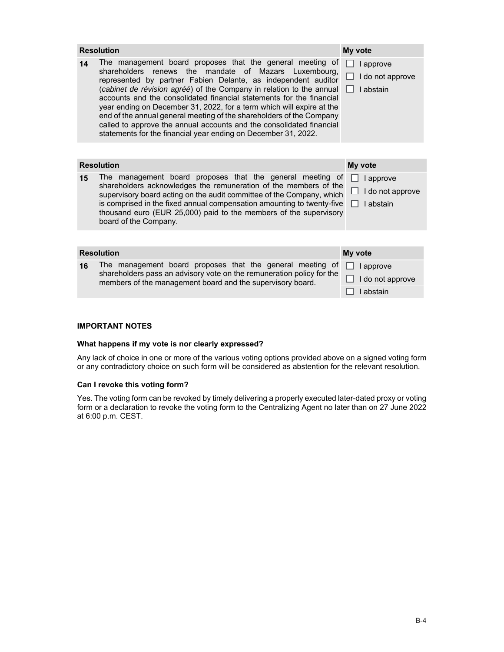|    | <b>Resolution</b>                                                                                                                                                                                                                                                                                                                                                                                                                                                                                                                                                                                                                       | My vote                                    |
|----|-----------------------------------------------------------------------------------------------------------------------------------------------------------------------------------------------------------------------------------------------------------------------------------------------------------------------------------------------------------------------------------------------------------------------------------------------------------------------------------------------------------------------------------------------------------------------------------------------------------------------------------------|--------------------------------------------|
| 14 | The management board proposes that the general meeting of<br>shareholders<br>renews the<br>mandate of Mazars<br>Luxembourg.<br>represented by partner Fabien Delante, as independent auditor<br>(cabinet de révision agréé) of the Company in relation to the annual<br>accounts and the consolidated financial statements for the financial<br>year ending on December 31, 2022, for a term which will expire at the<br>end of the annual general meeting of the shareholders of the Company<br>called to approve the annual accounts and the consolidated financial<br>statements for the financial year ending on December 31, 2022. | I approve<br>I do not approve<br>I abstain |
|    |                                                                                                                                                                                                                                                                                                                                                                                                                                                                                                                                                                                                                                         |                                            |
|    | <b>Resolution</b>                                                                                                                                                                                                                                                                                                                                                                                                                                                                                                                                                                                                                       | My vote                                    |
| 15 | The management board proposes that the general meeting of<br>shareholders acknowledges the remuneration of the members of the<br>supervisory board acting on the audit committee of the Company, which<br>is comprised in the fixed annual compensation amounting to twenty-five<br>thousand euro (EUR 25,000) paid to the members of the supervisory<br>board of the Company.                                                                                                                                                                                                                                                          | I approve<br>I do not approve<br>I abstain |
|    |                                                                                                                                                                                                                                                                                                                                                                                                                                                                                                                                                                                                                                         |                                            |
|    | <b>Resolution</b>                                                                                                                                                                                                                                                                                                                                                                                                                                                                                                                                                                                                                       | My vote                                    |
| 16 | The management board proposes that the general meeting of<br>shareholders pass an advisory vote on the remuneration policy for the<br>members of the management board and the supervisory board.                                                                                                                                                                                                                                                                                                                                                                                                                                        | I approve<br>I do not approve<br>I abstain |

## **IMPORTANT NOTES**

### **What happens if my vote is nor clearly expressed?**

Any lack of choice in one or more of the various voting options provided above on a signed voting form or any contradictory choice on such form will be considered as abstention for the relevant resolution.

#### **Can I revoke this voting form?**

Yes. The voting form can be revoked by timely delivering a properly executed later-dated proxy or voting form or a declaration to revoke the voting form to the Centralizing Agent no later than on 27 June 2022 at 6:00 p.m. CEST.